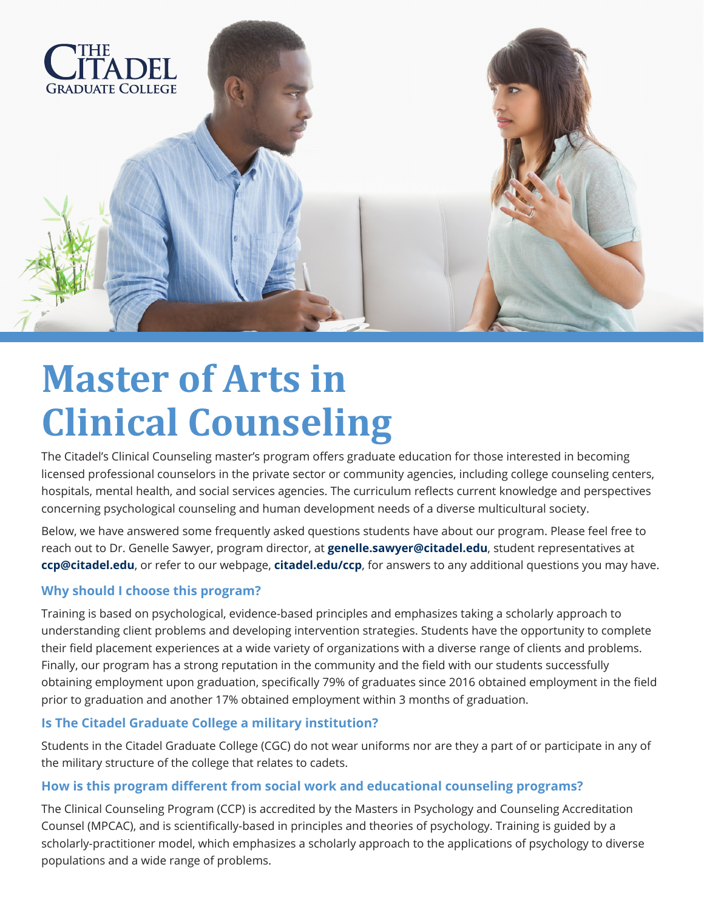

# **Master of Arts in Clinical Counseling**

The Citadel's Clinical Counseling master's program offers graduate education for those interested in becoming licensed professional counselors in the private sector or community agencies, including college counseling centers, hospitals, mental health, and social services agencies. The curriculum reflects current knowledge and perspectives concerning psychological counseling and human development needs of a diverse multicultural society.

Below, we have answered some frequently asked questions students have about our program. Please feel free to reach out to Dr. Genelle Sawyer, program director, at **genelle.sawyer@citadel.edu**, student representatives at **ccp@citadel.edu**, or refer to our webpage, **citadel.edu/ccp**, for answers to any additional questions you may have.

# **Why should I choose this program?**

Training is based on psychological, evidence-based principles and emphasizes taking a scholarly approach to understanding client problems and developing intervention strategies. Students have the opportunity to complete their field placement experiences at a wide variety of organizations with a diverse range of clients and problems. Finally, our program has a strong reputation in the community and the field with our students successfully obtaining employment upon graduation, specifically 79% of graduates since 2016 obtained employment in the field prior to graduation and another 17% obtained employment within 3 months of graduation.

## **Is The Citadel Graduate College a military institution?**

Students in the Citadel Graduate College (CGC) do not wear uniforms nor are they a part of or participate in any of the military structure of the college that relates to cadets.

## **How is this program different from social work and educational counseling programs?**

The Clinical Counseling Program (CCP) is accredited by the Masters in Psychology and Counseling Accreditation Counsel (MPCAC), and is scientifically-based in principles and theories of psychology. Training is guided by a scholarly-practitioner model, which emphasizes a scholarly approach to the applications of psychology to diverse populations and a wide range of problems.